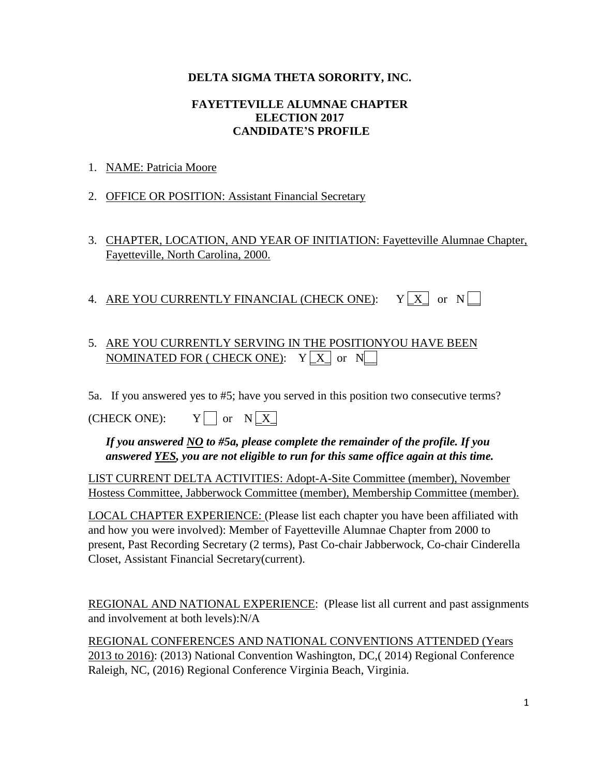## **DELTA SIGMA THETA SORORITY, INC.**

## **FAYETTEVILLE ALUMNAE CHAPTER ELECTION 2017 CANDIDATE'S PROFILE**

- 1. NAME: Patricia Moore
- 2. OFFICE OR POSITION: Assistant Financial Secretary
- 3. CHAPTER, LOCATION, AND YEAR OF INITIATION: Fayetteville Alumnae Chapter, Fayetteville, North Carolina, 2000.
- 4. ARE YOU CURRENTLY FINANCIAL (CHECK ONE):  $Y[X]$  or  $N$

## 5. ARE YOU CURRENTLY SERVING IN THE POSITIONYOU HAVE BEEN  $\mathop{\rm NOMINATED}$  FOR ( CHECK ONE):  $\quad$  Y  $\lfloor$  X  $\rfloor$  or  $\,$  N $\lfloor$   $\!$

5a. If you answered yes to #5; have you served in this position two consecutive terms?

 $(CHECK ONE): Y \cap or N X$ 

*If you answered NO to #5a, please complete the remainder of the profile. If you answered YES, you are not eligible to run for this same office again at this time.* 

LIST CURRENT DELTA ACTIVITIES: Adopt-A-Site Committee (member), November Hostess Committee, Jabberwock Committee (member), Membership Committee (member).

LOCAL CHAPTER EXPERIENCE: (Please list each chapter you have been affiliated with and how you were involved): Member of Fayetteville Alumnae Chapter from 2000 to present, Past Recording Secretary (2 terms), Past Co-chair Jabberwock, Co-chair Cinderella Closet, Assistant Financial Secretary(current).

REGIONAL AND NATIONAL EXPERIENCE: (Please list all current and past assignments and involvement at both levels):N/A

REGIONAL CONFERENCES AND NATIONAL CONVENTIONS ATTENDED (Years 2013 to 2016): (2013) National Convention Washington, DC,( 2014) Regional Conference Raleigh, NC, (2016) Regional Conference Virginia Beach, Virginia.